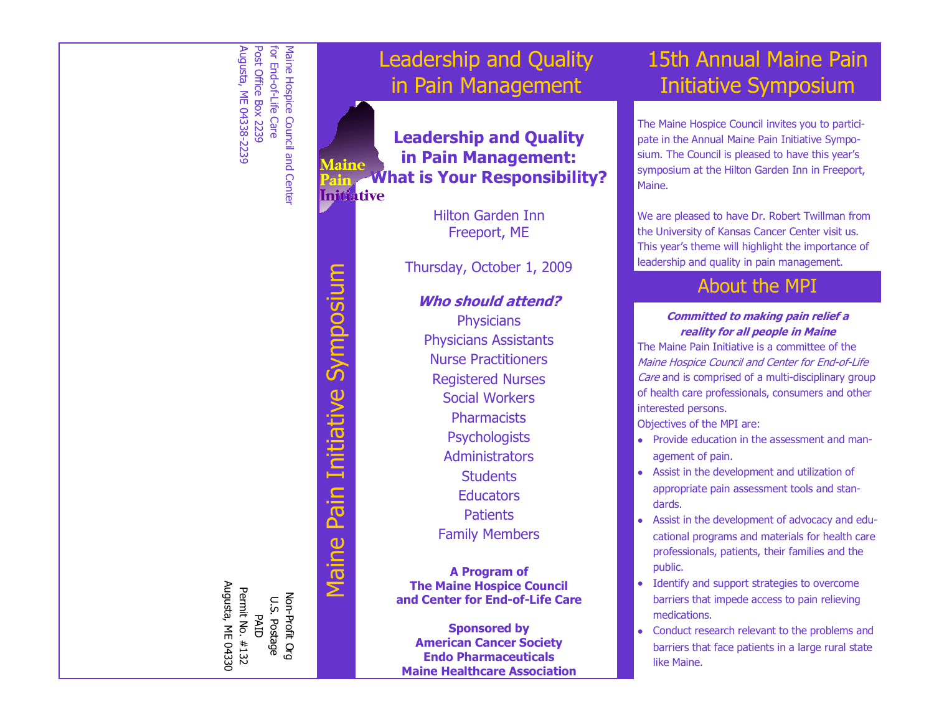

# Symposium Maine Pain Initiative Symposium Pain Initiative Maine

Non-Profit Org U.S. Postage PAID Permit No. #132 Augusta, ME 04330

Non-Profit Org U.S. Postage

Augusta, ME 04330 Permit No. #132

# Leadership and Quality in Pain Management

**Leadership and Quality in Pain Management: laine What is Your Responsibility? Initiative** 

> Hilton Garden Inn Freeport, ME

Thursday, October 1, 2009

#### **Who should attend?**

**Physicians** Physicians Assistants Nurse Practitioners Registered Nurses Social Workers **Pharmacists Psychologists** Administrators **Students Educators Patients** Family Members

**A Program of The Maine Hospice Council and Center for End-of-Life Care**

**Sponsored by American Cancer Society Endo Pharmaceuticals Maine Healthcare Association**

# 15th Annual Maine Pain Initiative Symposium

The Maine Hospice Council invites you to participate in the Annual Maine Pain Initiative Symposium. The Council is pleased to have this year's symposium at the Hilton Garden Inn in Freeport, Maine.

We are pleased to have Dr. Robert Twillman from the University of Kansas Cancer Center visit us. This year's theme will highlight the importance of leadership and quality in pain management.

### About the MPI

#### **Committed to making pain relief a reality for all people in Maine**

The Maine Pain Initiative is a committee of the Maine Hospice Council and Center for End-of-Life Care and is comprised of a multi-disciplinary group of health care professionals, consumers and other interested persons.

Objectives of the MPI are:

- Provide education in the assessment and management of pain.
- Assist in the development and utilization of appropriate pain assessment tools and standards.
- Assist in the development of advocacy and educational programs and materials for health care professionals, patients, their families and the public.
- Identify and support strategies to overcome barriers that impede access to pain relieving medications.
- Conduct research relevant to the problems and barriers that face patients in a large rural state like Maine.